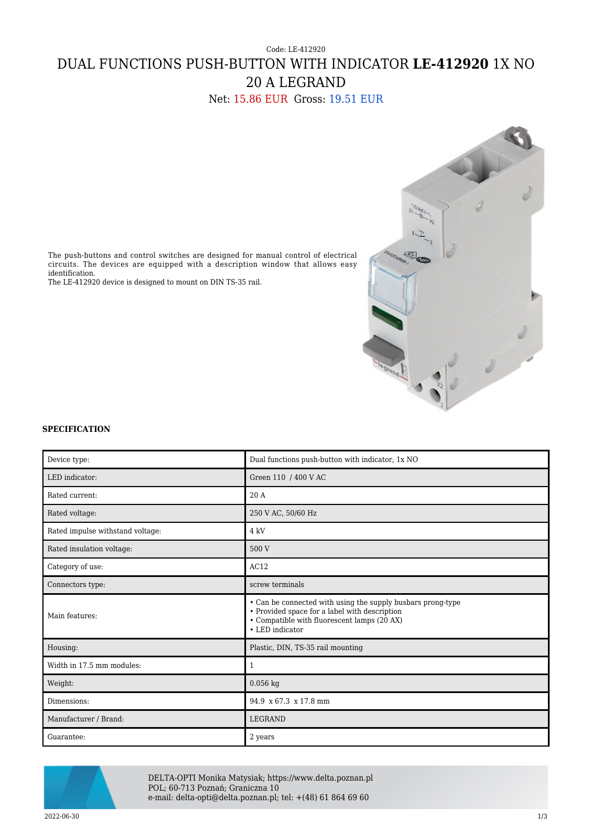## Code: LE-412920 DUAL FUNCTIONS PUSH-BUTTON WITH INDICATOR **LE-412920** 1X NO 20 A LEGRAND

Net: 15.86 EUR Gross: 19.51 EUR



The push-buttons and control switches are designed for manual control of electrical circuits. The devices are equipped with a description window that allows easy identification.

The LE-412920 device is designed to mount on DIN TS-35 rail.

## **SPECIFICATION**

| Device type:                     | Dual functions push-button with indicator, 1x NO                                                                                                                               |
|----------------------------------|--------------------------------------------------------------------------------------------------------------------------------------------------------------------------------|
| LED indicator:                   | Green 110 / 400 V AC                                                                                                                                                           |
| Rated current:                   | 20A                                                                                                                                                                            |
| Rated voltage:                   | 250 V AC, 50/60 Hz                                                                                                                                                             |
| Rated impulse withstand voltage: | 4 kV                                                                                                                                                                           |
| Rated insulation voltage:        | 500 V                                                                                                                                                                          |
| Category of use:                 | AC12                                                                                                                                                                           |
| Connectors type:                 | screw terminals                                                                                                                                                                |
| Main features:                   | • Can be connected with using the supply busbars prong-type<br>• Provided space for a label with description<br>• Compatible with fluorescent lamps (20 AX)<br>• LED indicator |
| Housing:                         | Plastic, DIN, TS-35 rail mounting                                                                                                                                              |
| Width in 17.5 mm modules:        | $\mathbf{1}$                                                                                                                                                                   |
| Weight:                          | $0.056$ kg                                                                                                                                                                     |
| Dimensions:                      | 94.9 x 67.3 x 17.8 mm                                                                                                                                                          |
| Manufacturer / Brand:            | <b>LEGRAND</b>                                                                                                                                                                 |
| Guarantee:                       | 2 years                                                                                                                                                                        |



DELTA-OPTI Monika Matysiak; https://www.delta.poznan.pl POL; 60-713 Poznań; Graniczna 10 e-mail: delta-opti@delta.poznan.pl; tel: +(48) 61 864 69 60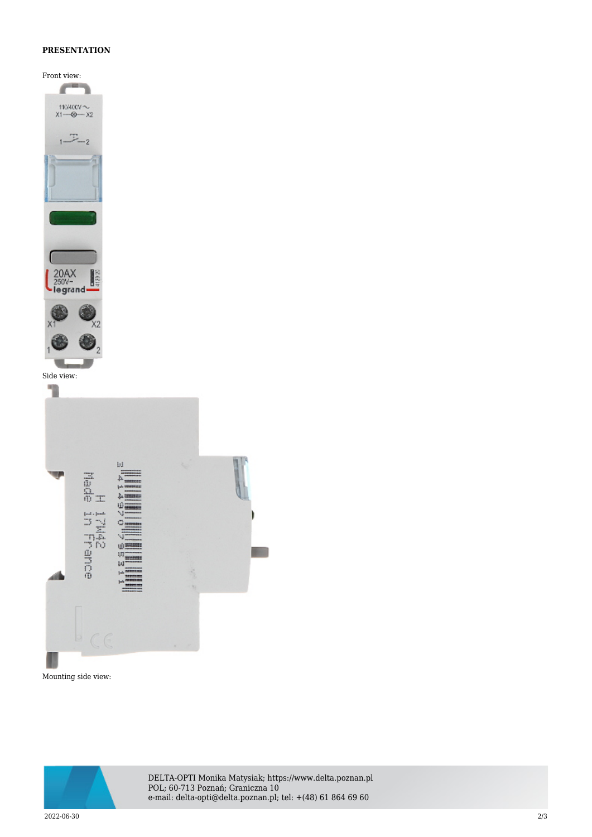## **PRESENTATION**

Front view:







DELTA-OPTI Monika Matysiak; https://www.delta.poznan.pl POL; 60-713 Poznań; Graniczna 10 e-mail: delta-opti@delta.poznan.pl; tel: +(48) 61 864 69 60

2022-06-30 2/3